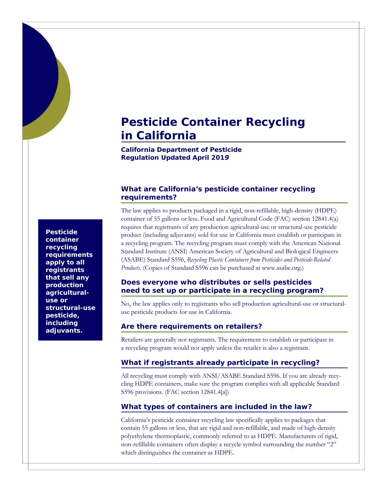## **Pesticide Container Recycling in California**

**California Department of Pesticide Regulation** *Updated April 2019*

## **What are California's pesticide container recycling requirements?**

The law applies to products packaged in a rigid, non-refillable, high-density (HDPE)

container of 55 gallons or less. Food and Agricultural Code (FAC) section 12841.4(a) requires that registrants of any production agricultural-use or structural-use pesticide product (including adjuvants) sold for use in California must establish or participate in a recycling program. The recycling program must comply with the American National

Standard Institute (ANSI) American Society of Agricultural and Biological Engineers (ASABE) Standard S596, *Recycling Plastic Containers from Pesticides and Pesticide-Related Products*. (Copies of Standard S596 can be purchased at www.asabe.org.) **Does everyone who distributes or sells pesticides** 

# **need to set up or participate in a recycling program?**

No, the law applies only to registrants who sell production agricultural-use or structuraluse pesticide products for use in California.

## **Are there requirements on retailers?**

Retailers are generally not registrants. The requirement to establish or participate in a recycling program would not apply unless the retailer is also a registrant.

## **What if registrants already participate in recycling?**

All recycling must comply with ANSI/ASABE Standard S596. If you are already recycling HDPE containers, make sure the program complies with all applicable Standard S596 provisions. (FAC section 12841.4[a])

## **What types of containers are included in the law?**

California's pesticide container recycling law specifically applies to packages that contain 55 gallons or less, that are rigid and non-refillable, and made of high-density polyethylene thermoplastic, commonly referred to as HDPE. Manufacturers of rigid, non-refillable containers often display a recycle symbol surrounding the number "2" which distinguishes the container as HDPE.

**Pesticide container recycling requirements apply to all registrants that sell any production agriculturaluse or structural-use pesticide, including adjuvants.**